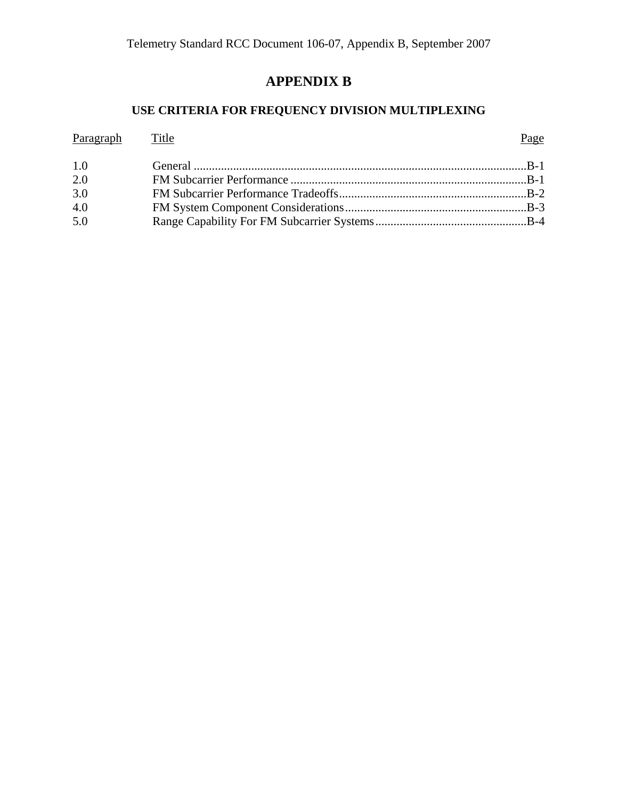# **APPENDIX B**

# **USE CRITERIA FOR FREQUENCY DIVISION MULTIPLEXING**

| Paragraph Title | Page |
|-----------------|------|
| 1.0             |      |
| 2.0             |      |
| 3.0             |      |
| 4.0             |      |
| 5.0             |      |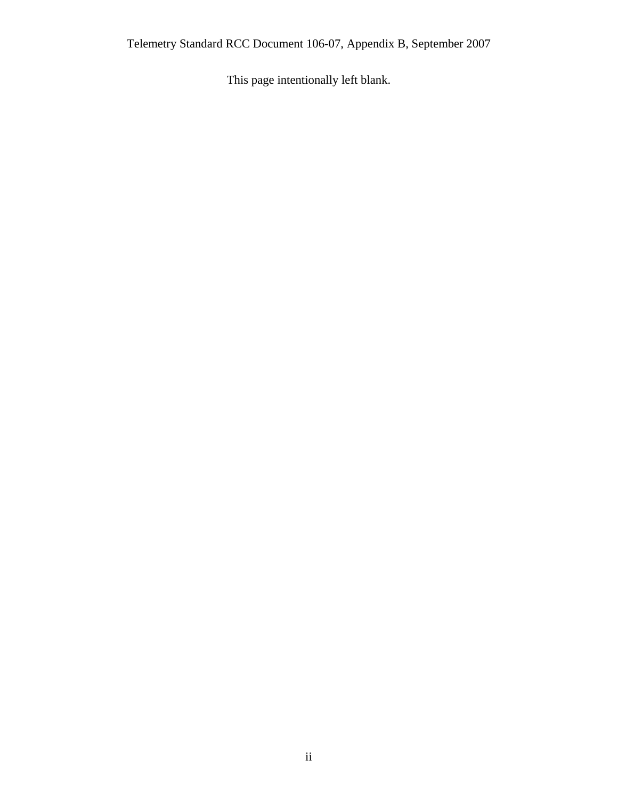This page intentionally left blank.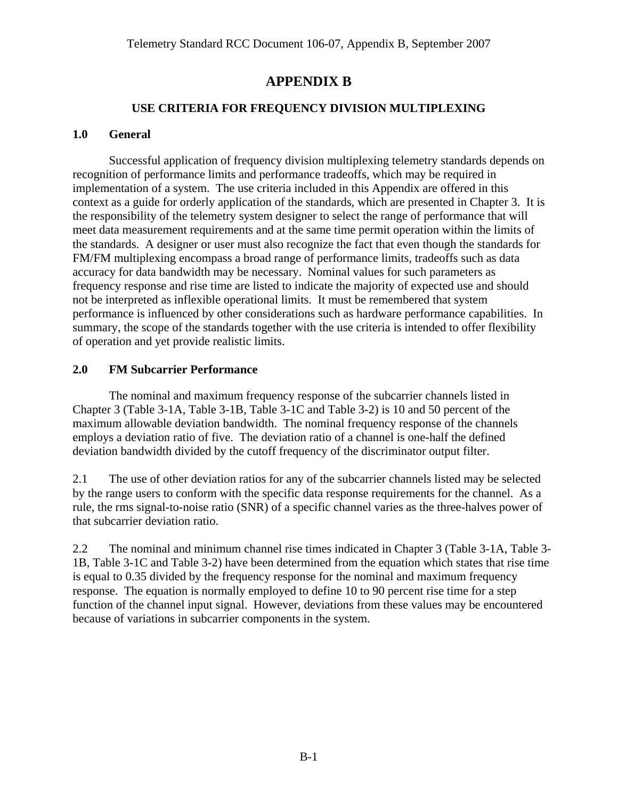## **APPENDIX B**

## **USE CRITERIA FOR FREQUENCY DIVISION MULTIPLEXING**

#### <span id="page-2-0"></span>**1.0 General**

 Successful application of frequency division multiplexing telemetry standards depends on recognition of performance limits and performance tradeoffs, which may be required in implementation of a system. The use criteria included in this Appendix are offered in this context as a guide for orderly application of the standards, which are presented in Chapter 3. It is the responsibility of the telemetry system designer to select the range of performance that will meet data measurement requirements and at the same time permit operation within the limits of the standards. A designer or user must also recognize the fact that even though the standards for FM/FM multiplexing encompass a broad range of performance limits, tradeoffs such as data accuracy for data bandwidth may be necessary. Nominal values for such parameters as frequency response and rise time are listed to indicate the majority of expected use and should not be interpreted as inflexible operational limits. It must be remembered that system performance is influenced by other considerations such as hardware performance capabilities. In summary, the scope of the standards together with the use criteria is intended to offer flexibility of operation and yet provide realistic limits.

## **2.0 FM Subcarrier Performance**

 The nominal and maximum frequency response of the subcarrier channels listed in Chapter 3 (Table 3-1A, Table 3-1B, Table 3-1C and Table 3-2) is 10 and 50 percent of the maximum allowable deviation bandwidth. The nominal frequency response of the channels employs a deviation ratio of five. The deviation ratio of a channel is one-half the defined deviation bandwidth divided by the cutoff frequency of the discriminator output filter.

2.1 The use of other deviation ratios for any of the subcarrier channels listed may be selected by the range users to conform with the specific data response requirements for the channel. As a rule, the rms signal-to-noise ratio (SNR) of a specific channel varies as the three-halves power of that subcarrier deviation ratio.

2.2 The nominal and minimum channel rise times indicated in Chapter 3 (Table 3-1A, Table 3- 1B, Table 3-1C and Table 3-2) have been determined from the equation which states that rise time is equal to 0.35 divided by the frequency response for the nominal and maximum frequency response. The equation is normally employed to define 10 to 90 percent rise time for a step function of the channel input signal. However, deviations from these values may be encountered because of variations in subcarrier components in the system.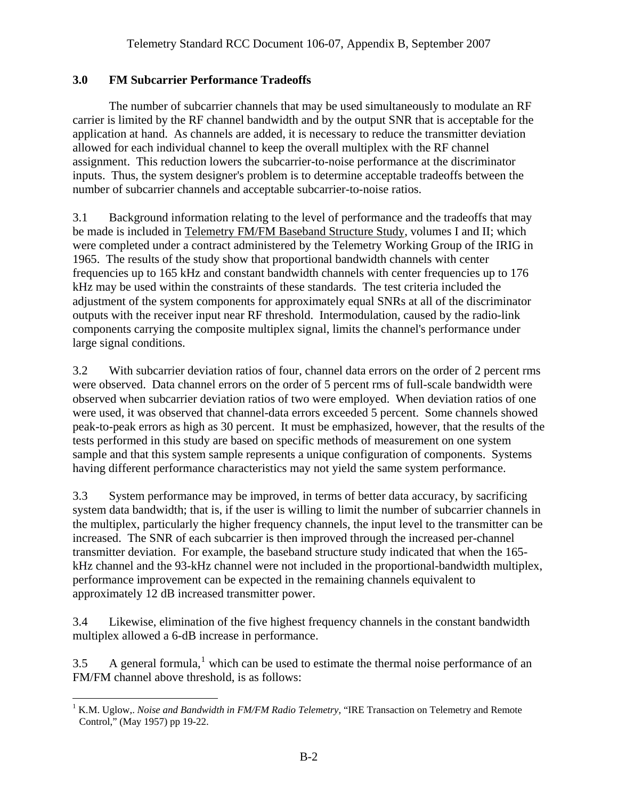## <span id="page-3-0"></span>**3.0 FM Subcarrier Performance Tradeoffs**

 The number of subcarrier channels that may be used simultaneously to modulate an RF carrier is limited by the RF channel bandwidth and by the output SNR that is acceptable for the application at hand. As channels are added, it is necessary to reduce the transmitter deviation allowed for each individual channel to keep the overall multiplex with the RF channel assignment. This reduction lowers the subcarrier-to-noise performance at the discriminator inputs. Thus, the system designer's problem is to determine acceptable tradeoffs between the number of subcarrier channels and acceptable subcarrier-to-noise ratios.

3.1 Background information relating to the level of performance and the tradeoffs that may be made is included in Telemetry FM/FM Baseband Structure Study, volumes I and II; which were completed under a contract administered by the Telemetry Working Group of the IRIG in 1965. The results of the study show that proportional bandwidth channels with center frequencies up to 165 kHz and constant bandwidth channels with center frequencies up to 176 kHz may be used within the constraints of these standards. The test criteria included the adjustment of the system components for approximately equal SNRs at all of the discriminator outputs with the receiver input near RF threshold. Intermodulation, caused by the radio-link components carrying the composite multiplex signal, limits the channel's performance under large signal conditions.

3.2 With subcarrier deviation ratios of four, channel data errors on the order of 2 percent rms were observed. Data channel errors on the order of 5 percent rms of full-scale bandwidth were observed when subcarrier deviation ratios of two were employed. When deviation ratios of one were used, it was observed that channel-data errors exceeded 5 percent. Some channels showed peak-to-peak errors as high as 30 percent. It must be emphasized, however, that the results of the tests performed in this study are based on specific methods of measurement on one system sample and that this system sample represents a unique configuration of components. Systems having different performance characteristics may not yield the same system performance.

3.3 System performance may be improved, in terms of better data accuracy, by sacrificing system data bandwidth; that is, if the user is willing to limit the number of subcarrier channels in the multiplex, particularly the higher frequency channels, the input level to the transmitter can be increased. The SNR of each subcarrier is then improved through the increased per-channel transmitter deviation. For example, the baseband structure study indicated that when the 165 kHz channel and the 93-kHz channel were not included in the proportional-bandwidth multiplex, performance improvement can be expected in the remaining channels equivalent to approximately 12 dB increased transmitter power.

3.4 Likewise, elimination of the five highest frequency channels in the constant bandwidth multiplex allowed a 6-dB increase in performance.

3.5 A general formula,<sup>[1](#page-3-1)</sup> which can be used to estimate the thermal noise performance of an FM/FM channel above threshold, is as follows:

<span id="page-3-1"></span> $\overline{a}$ <sup>1</sup> K.M. Uglow,. *Noise and Bandwidth in FM/FM Radio Telemetry*, "IRE Transaction on Telemetry and Remote Control," (May 1957) pp 19-22.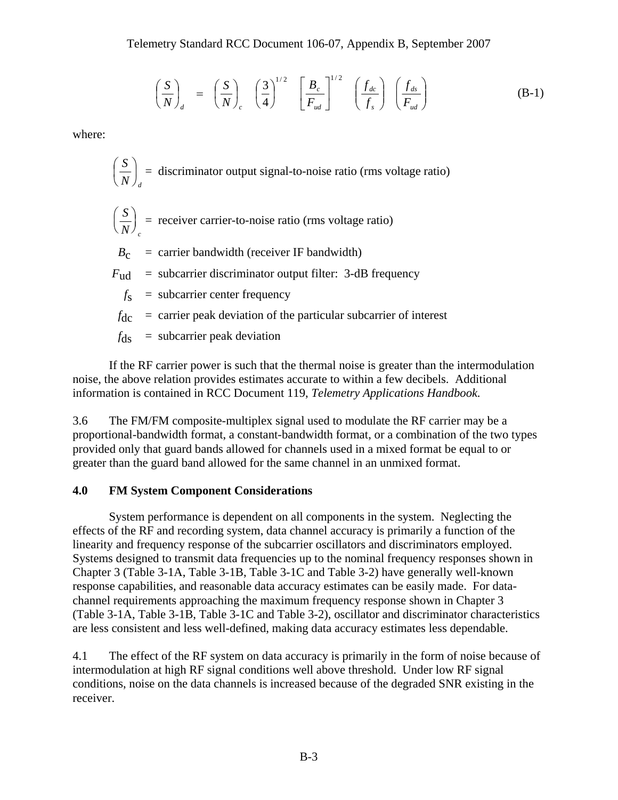<span id="page-4-0"></span>
$$
\left(\frac{S}{N}\right)_d = \left(\frac{S}{N}\right)_c \left(\frac{3}{4}\right)^{1/2} \left[\frac{B_c}{F_{ud}}\right]^{1/2} \left(\frac{f_{dc}}{f_s}\right) \left(\frac{f_{ds}}{F_{ud}}\right)
$$
\n(B-1)

where:

$$
\left(\frac{S}{N}\right)_d = \text{discriminator output signal-to-noise ratio (rms voltage ratio)}
$$

- *<sup>S</sup>*  $N$ <sup>*l*</sup> $_{c}$  $\big($  $\left(\frac{S}{N}\right)$  = receiver carrier-to-noise ratio (rms voltage ratio)
	- $B_{\rm C}$  $=$  carrier bandwidth (receiver IF bandwidth)
	- $F_{\text{ud}}$  = subcarrier discriminator output filter: 3-dB frequency
		- $f<sub>S</sub>$  = subcarrier center frequency
	- $f_{\text{dc}}$  = carrier peak deviation of the particular subcarrier of interest

 $f_{\text{ds}}$  = subcarrier peak deviation

 If the RF carrier power is such that the thermal noise is greater than the intermodulation noise, the above relation provides estimates accurate to within a few decibels. Additional information is contained in RCC Document 119, *Telemetry Applications Handbook.* 

3.6 The FM/FM composite-multiplex signal used to modulate the RF carrier may be a proportional-bandwidth format, a constant-bandwidth format, or a combination of the two types provided only that guard bands allowed for channels used in a mixed format be equal to or greater than the guard band allowed for the same channel in an unmixed format.

#### **4.0 FM System Component Considerations**

 System performance is dependent on all components in the system. Neglecting the effects of the RF and recording system, data channel accuracy is primarily a function of the linearity and frequency response of the subcarrier oscillators and discriminators employed. Systems designed to transmit data frequencies up to the nominal frequency responses shown in Chapter 3 (Table 3-1A, Table 3-1B, Table 3-1C and Table 3-2) have generally well-known response capabilities, and reasonable data accuracy estimates can be easily made. For datachannel requirements approaching the maximum frequency response shown in Chapter 3 (Table 3-1A, Table 3-1B, Table 3-1C and Table 3-2), oscillator and discriminator characteristics are less consistent and less well-defined, making data accuracy estimates less dependable.

4.1 The effect of the RF system on data accuracy is primarily in the form of noise because of intermodulation at high RF signal conditions well above threshold. Under low RF signal conditions, noise on the data channels is increased because of the degraded SNR existing in the receiver.